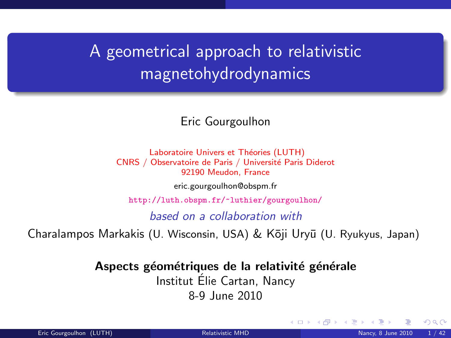# <span id="page-0-1"></span>A geometrical approach to relativistic magnetohydrodynamics

#### Eric Gourgoulhon

Laboratoire Univers et Théories (LUTH) CNRS / Observatoire de Paris / Université Paris Diderot 92190 Meudon, France

[eric.gourgoulhon@obspm.fr](mailto:eric.gourgoulhon@obspm.fr)

<http://luth.obspm.fr/~luthier/gourgoulhon/>

based on a collaboration with

Charalampos Markakis (U. Wisconsin, USA) & Kōji Uryū (U. Ryukyus, Japan)

Aspects géométriques de la relativité générale

Institut Elie Cartan, Nancy ´

8-9 June 2010

<span id="page-0-0"></span> $\Omega$ 

**K ロ ト K 何 ト K 日**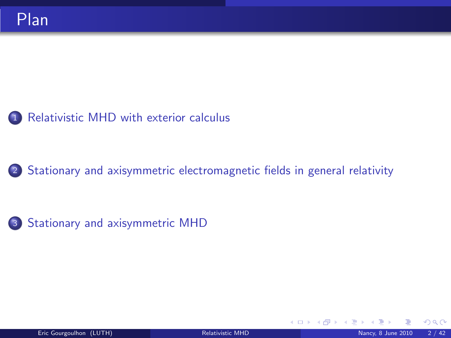

<sup>2</sup> [Stationary and axisymmetric electromagnetic fields in general relativity](#page-16-0)



**K ロ ト K 何 ト K 目** 

 $290$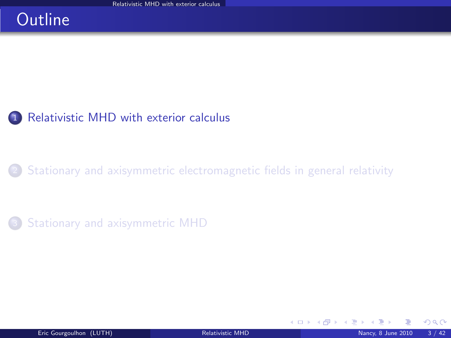#### **Outline**



[Stationary and axisymmetric electromagnetic fields in general relativity](#page-16-0)

[Stationary and axisymmetric MHD](#page-29-0)

<span id="page-2-0"></span> $\Omega$ 

**K ロ ▶ K 御 ▶ K 舌**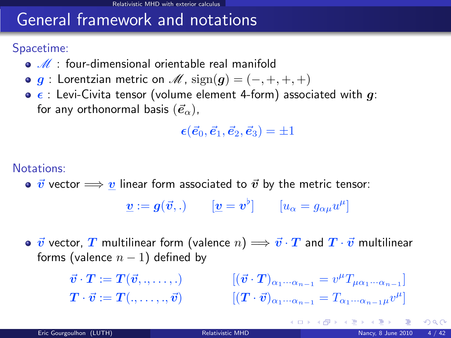## General framework and notations

Spacetime:

- $\bullet$   $\mathcal{M}$  : four-dimensional orientable real manifold
- $\bullet$  g : Lorentzian metric on  $\mathcal{M}$ ,  $sign(g) = (-, +, +, +)$
- $\bullet$   $\epsilon$  : Levi-Civita tensor (volume element 4-form) associated with g: for any orthonormal basis  $(\vec{e}_{\alpha})$ ,

 $\epsilon(\vec{e}_0, \vec{e}_1, \vec{e}_2, \vec{e}_3) = \pm 1$ 

Notations:

•  $\vec{v}$  vector  $\implies v$  linear form associated to  $\vec{v}$  by the metric tensor:

 $\boldsymbol{\underline{v}} := \boldsymbol{g}(\vec{v},.) \qquad [\boldsymbol{\underline{v}} = \boldsymbol{v}^\flat] \qquad [u_\alpha = g_{\alpha\mu}u^\mu]$ 

 $\bullet\,\,\vec v$  vector,  $T$  multilinear form (valence  $n)\Longrightarrow \vec v\cdot T$  and  $T\cdot\vec v$  multilinear forms (valence  $n - 1$ ) defined by

$$
\vec{v} \cdot \mathbf{T} := \mathbf{T}(\vec{v}, \dots, \dots) \qquad \qquad [(\vec{v} \cdot \mathbf{T})_{\alpha_1 \cdots \alpha_{n-1}} = v^{\mu} T_{\mu \alpha_1 \cdots \alpha_{n-1}}] \n\mathbf{T} \cdot \vec{v} := \mathbf{T}(\dots, \dots, \vec{v}) \qquad \qquad [(\mathbf{T} \cdot \vec{v})_{\alpha_1 \cdots \alpha_{n-1}} = T_{\alpha_1 \cdots \alpha_{n-1} \mu} v^{\mu}]
$$

 $\Omega$ 

K ロ ▶ K 御 ▶ K 경 ▶ K 경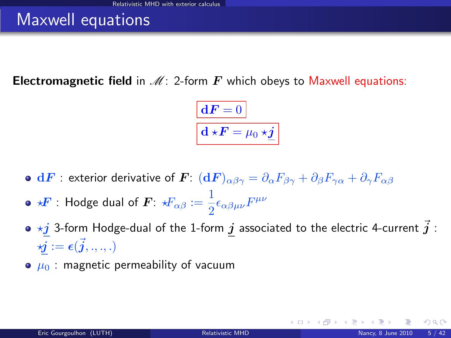### Maxwell equations

**Electromagnetic field in**  $\mathcal{M}$ **:** 2-form  $\mathbf{F}$  which obeys to Maxwell equations:

$$
\boxed{\mathbf{d} \mathbf{F} = 0}
$$

$$
\mathbf{d} \star \mathbf{F} = \mu_0 \star \underline{\mathbf{j}}
$$

- **o** dF : exterior derivative of  $\bm{F}: (\textbf{d}\bm{F})_{\alpha\beta\gamma} = \partial_\alpha F_{\beta\gamma} + \partial_\beta F_{\gamma\alpha} + \partial_\gamma F_{\alpha\beta}$
- $\star \! \bm{F}$  : Hodge dual of  $\bm{F}$ :  $\star \! \! F_{\alpha \beta} := \frac{1}{2}$  $\frac{1}{2}\epsilon_{\alpha\beta\mu\nu}F^{\mu\nu}$
- $\bullet$   $\star j$  3-form Hodge-dual of the 1-form  $j$  associated to the electric 4-current  $\vec{j}$  :  $\bm{\varkappa j} := \bm{\epsilon}(\vec{\bm{j}},...,\,)$
- $\bullet$   $\mu_0$ : magnetic permeability of vacuum

**K ロ ▶ K 何 ▶ K 手**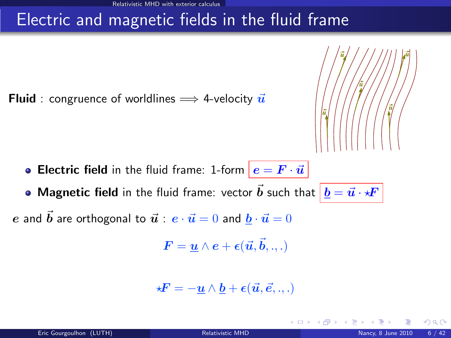## Electric and magnetic fields in the fluid frame

**Fluid** : congruence of worldlines  $\implies$  4-velocity  $\vec{u}$ 



4 0 8 1

- **Electric field** in the fluid frame: 1-form  $|e = F \cdot \vec{u}|$
- Magnetic field in the fluid frame: vector  $\vec{b}$  such that  $|\underline{b} = \vec{u} \cdot \star \vec{F}|$ e and  $\vec{b}$  are orthogonal to  $\vec{u}$  :  $e \cdot \vec{u} = 0$  and  $b \cdot \vec{u} = 0$

$$
\boldsymbol{F} = \underline{\boldsymbol{u}} \wedge \boldsymbol{e} + \boldsymbol{\epsilon}(\vec{\boldsymbol{u}}, \vec{\boldsymbol{b}}, ..)
$$

$$
\star \boldsymbol{F} = -\underline{\boldsymbol{u}} \wedge \underline{\boldsymbol{b}} + \boldsymbol{\epsilon}(\vec{\boldsymbol{u}}, \vec{\boldsymbol{e}}, .., ..)
$$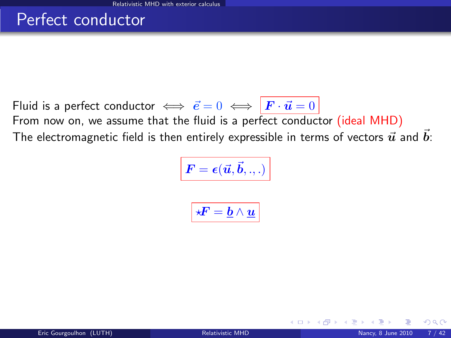#### Perfect conductor

Fluid is a perfect conductor  $\iff \vec{e} = 0 \iff \vec{F} \cdot \vec{u} = 0$ From now on, we assume that the fluid is a perfect conductor (ideal MHD) The electromagnetic field is then entirely expressible in terms of vectors  $\vec{u}$  and  $\vec{b}$ :

$$
\boxed{\bm{F} = \bm{\epsilon}(\vec{\bm{u}}, \vec{\bm{b}}, .., )}
$$

$$
\boxed{ \star \! \! \! F = \underline{b} \wedge \underline{u} }
$$

 $\Omega$ 

**K ロ ▶ K 何 ▶ K**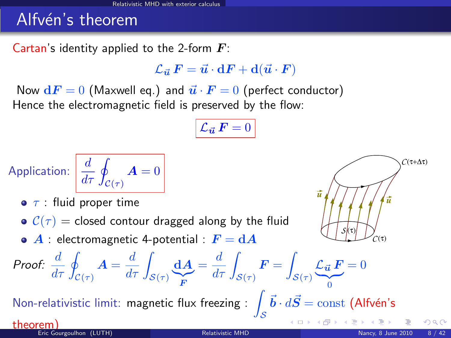## Alfvén's theorem

Cartan's identity applied to the 2-form  $\boldsymbol{F}$ :

 $\mathcal{L}_{\vec{u}} F = \vec{u} \cdot dF + d(\vec{u} \cdot F)$ 

Now  $dF = 0$  (Maxwell eq.) and  $\vec{u} \cdot \vec{F} = 0$  (perfect conductor) Hence the electromagnetic field is preserved by the flow:

$$
\mathcal{L}_{\vec{u}}\,\bm{F}=0
$$

Application: 
$$
\frac{d}{d\tau} \oint_{\mathcal{C}(\tau)} \mathbf{A} = 0
$$

 $\bullet$   $\tau$  : fluid proper time

- $C(\tau)$  = closed contour dragged along by the fluid
- $\bullet$  A : electromagnetic 4-potential :  $F = dA$

Proof: 
$$
\frac{d}{d\tau} \oint_{\mathcal{C}(\tau)} \mathbf{A} = \frac{d}{d\tau} \int_{\mathcal{S}(\tau)} \underbrace{d\mathbf{A}}_{\mathbf{F}} = \frac{d}{d\tau} \int_{\mathcal{S}(\tau)} \mathbf{F} = \int_{\mathcal{S}(\tau)} \underbrace{\mathcal{L}_{\vec{u}} \mathbf{F}}_{0} = 0
$$

Non-relativistic limit: magnetic flux freezing :  $\int$ 

S

 $-\bm{b}\cdot d\bm{S}=\mathrm{const}$  (Alfvén's

 $\leftarrow$   $\Box$   $\rightarrow$   $\leftarrow$   $\leftarrow$   $\Box$   $\rightarrow$   $\rightarrow$   $\Box$ 

 $C(\tau+\Delta\tau)$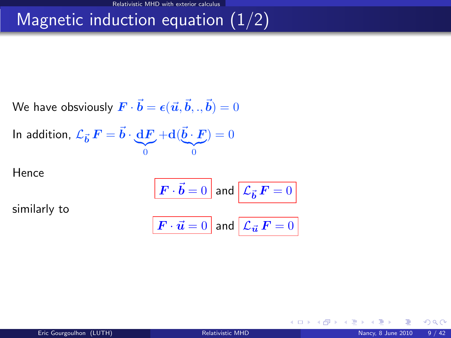# Magnetic induction equation  $(1/2)$

We have obviously 
$$
\boldsymbol{F}\cdot\boldsymbol{\vec{b}}=\boldsymbol{\epsilon}(\vec{\boldsymbol{u}},\vec{\boldsymbol{b}},.,\vec{\boldsymbol{b}})=0
$$

In addition, 
$$
\mathcal{L}_{\vec{b}} \mathbf{F} = \vec{b} \cdot \underbrace{\mathbf{d} \mathbf{F}}_{0} + \mathbf{d}(\underbrace{\vec{b} \cdot \mathbf{F}}_{0}) = 0
$$

Hence

$$
\boxed{\boldsymbol{F}\cdot\vec{\boldsymbol{b}}=0}
$$
 and 
$$
\boxed{\boldsymbol{\mathcal{L}}_{\vec{\boldsymbol{b}}}F=0}
$$

similarly to

$$
\boxed{\textbf{\textit{F}}\cdot\vec{\textit{u}}=0\text{ and }\boxed{\mathcal{L}_{\vec{\textit{u}}}\textbf{\textit{F}}=0}}
$$

<span id="page-8-0"></span> $299$ 

**Kロトメ部トメミ**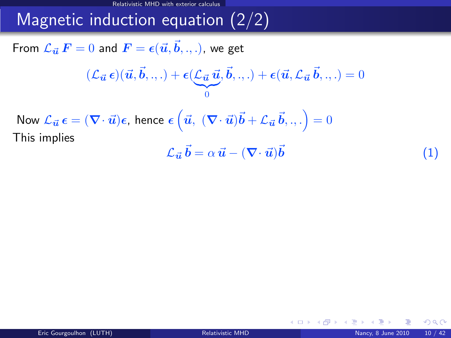Relativistic MHD with exterior calculus

# Magnetic induction equation  $(2/2)$

From  $\mathcal{L}_{\vec{\bm{u}}} \, \bm{F} = 0$  and  $\bm{F} = \bm{\epsilon}(\vec{\bm{u}}, \vec{\bm{b}}, . , .)$ , we get

$$
(\mathcal{L}_{\vec{\boldsymbol{u}}}\,\boldsymbol{\epsilon})(\vec{\boldsymbol{u}},\vec{\boldsymbol{b}},.,.)+\boldsymbol{\epsilon}(\underbrace{\mathcal{L}_{\vec{\boldsymbol{u}}}\,\vec{\boldsymbol{u}}}_{0},\vec{\boldsymbol{b}},.,.)+\boldsymbol{\epsilon}(\vec{\boldsymbol{u}},\mathcal{L}_{\vec{\boldsymbol{u}}}\,\vec{\boldsymbol{b}},.,.)=0
$$

Now  $\mathcal{L}_{\vec{\bm{u}}}\,\bm{\epsilon}=(\bm{\nabla}\cdot\vec{\bm{u}})\bm{\epsilon}$ , hence  $\bm{\epsilon}\left(\vec{\bm{u}},\;(\bm{\nabla}\cdot\vec{\bm{u}})\vec{\bm{b}}+\mathcal{L}_{\vec{\bm{u}}}\,\vec{\bm{b}}, . . .\right)=0$ This implies

<span id="page-9-1"></span>
$$
\mathcal{L}_{\vec{u}}\vec{b} = \alpha \vec{u} - (\nabla \cdot \vec{u})\vec{b}
$$
 (1)

<span id="page-9-3"></span><span id="page-9-2"></span>**←ロ ▶ ← イ 同 →** 

<span id="page-9-0"></span> $\Omega$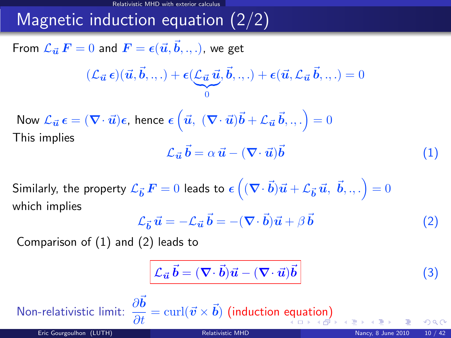Relativistic MHD with exterior

# Magnetic induction equation (2/2)

From  $\mathcal{L}_{\vec{\bm{u}}} \, \bm{F} = 0$  and  $\bm{F} = \bm{\epsilon}(\vec{\bm{u}}, \vec{\bm{b}}, . , .)$ , we get

$$
(\mathcal{L}_{\vec{\boldsymbol{u}}}\,\boldsymbol{\epsilon})(\vec{\boldsymbol{u}},\vec{\boldsymbol{b}},.,.)+\boldsymbol{\epsilon}(\underbrace{\mathcal{L}_{\vec{\boldsymbol{u}}}\,\vec{\boldsymbol{u}}}_{0},\vec{\boldsymbol{b}},.,.)+\boldsymbol{\epsilon}(\vec{\boldsymbol{u}},\mathcal{L}_{\vec{\boldsymbol{u}}}\,\vec{\boldsymbol{b}},.,.)=0
$$

Now  $\mathcal{L}_{\vec{\bm{u}}}\,\bm{\epsilon}=(\bm{\nabla}\cdot\vec{\bm{u}})\bm{\epsilon}$ , hence  $\bm{\epsilon}\left(\vec{\bm{u}},\;(\bm{\nabla}\cdot\vec{\bm{u}})\vec{\bm{b}}+\mathcal{L}_{\vec{\bm{u}}}\,\vec{\bm{b}}, . . .\right)=0$ This implies

$$
\mathcal{L}_{\vec{u}}\vec{b} = \alpha \,\vec{u} - (\nabla \cdot \vec{u})\vec{b} \tag{1}
$$

Similarly, the property  ${\cal L}_{\vec{\bm b}}\,{\bm F}=0$  leads to  $\bm \epsilon\left((\bm\nabla\!\cdot\vec{\bm b})\vec{\bm u}+{\cal L}_{\vec{\bm b}}\,\vec{\bm u},\;\vec{\bm b},.,.\right)=0$ which implies

$$
\mathcal{L}_{\vec{b}}\,\vec{u} = -\mathcal{L}_{\vec{u}}\,\vec{b} = -(\nabla \cdot \vec{b})\vec{u} + \beta\,\vec{b} \tag{2}
$$

Comparison of [\(1\)](#page-9-1) and [\(2\)](#page-9-2) leads to

<span id="page-10-0"></span>
$$
\mathcal{L}_{\vec{u}}\vec{b} = (\nabla \cdot \vec{b})\vec{u} - (\nabla \cdot \vec{u})\vec{b}
$$
 (3)

Non-rel[at](#page-11-0)ivistic limit:  $\displaystyle{\frac{\partial \vec{b}}{\partial t}=\mathrm{curl}(\vec{v}\times \vec{b})}$  $\displaystyle{\frac{\partial \vec{b}}{\partial t}=\mathrm{curl}(\vec{v}\times \vec{b})}$  $\displaystyle{\frac{\partial \vec{b}}{\partial t}=\mathrm{curl}(\vec{v}\times \vec{b})}$  (induction [equ](#page-9-0)at[io](#page-8-0)[n](#page-9-0)) Eric Gourgoulhon (LUTH) and the Courgoulhon CLUTH Courgould be a state of the [Relativistic MHD](#page-0-0) Nancy, 8 June 2010 10 / 42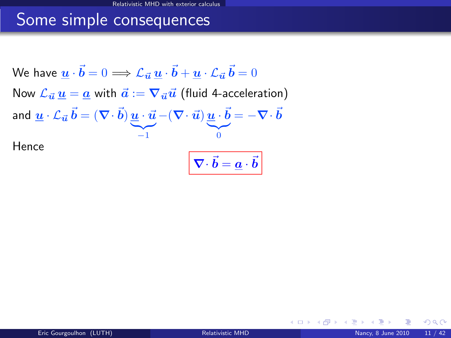### Some simple consequences

We have  $\bm{\underline{u}}\cdot\vec{\bm{b}}=0 \Longrightarrow \mathcal{L}_{\vec{\bm{u}}}\,\underline{\bm{u}}\cdot\vec{\bm{b}}+\underline{\bm{u}}\cdot\mathcal{L}_{\vec{\bm{u}}}\,\vec{\bm{b}}=0$ Now  $\mathcal{L}_{\vec{u}} u = a$  with  $\vec{a} := \nabla_{\vec{u}} \vec{u}$  (fluid 4-acceleration) and  $\boldsymbol{\underline{u}}\cdot\boldsymbol{\mathcal{L}}_{\vec{\boldsymbol{u}}}\,\vec{\boldsymbol{b}} = (\boldsymbol{\nabla}\!\cdot\!\vec{\boldsymbol{b}})\,\underline{\boldsymbol{u}}\cdot\vec{\boldsymbol{u}}$  $\sum_{i=1}^{\infty}$  $-(\bm{\nabla}\!\cdot\vec{\bm{u}})\,\underline{\bm{u}}\cdot\vec{\bm{b}}$  $|{}_{0}$  $= - \nabla \cdot \vec{b}$ Hence  $\bm{\nabla}\cdot\vec{\bm{b}}=\underline{\bm{a}}\cdot\vec{\bm{b}}$ 

<span id="page-11-0"></span> $\Omega$ 

**4 ロ ト 4 何 ト 4**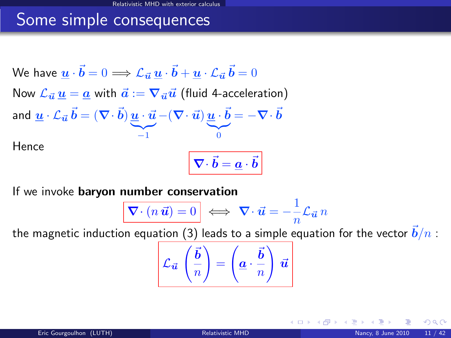## Some simple consequences

We have  $\bm{\underline{u}}\cdot\vec{\bm{b}}=0 \Longrightarrow \mathcal{L}_{\vec{\bm{u}}}\,\underline{\bm{u}}\cdot\vec{\bm{b}}+\underline{\bm{u}}\cdot\mathcal{L}_{\vec{\bm{u}}}\,\vec{\bm{b}}=0$ Now  $\mathcal{L}_{\vec{u}} u = a$  with  $\vec{a} := \nabla_{\vec{u}} \vec{u}$  (fluid 4-acceleration) and  $\boldsymbol{\underline{u}}\cdot\boldsymbol{\mathcal{L}}_{\vec{\boldsymbol{u}}}\,\vec{\boldsymbol{b}} = (\boldsymbol{\nabla}\!\cdot\!\vec{\boldsymbol{b}})\,\underline{\boldsymbol{u}}\cdot\vec{\boldsymbol{u}}$  $\sum_{i=1}^{\infty}$  $-(\bm{\nabla}\!\cdot\vec{\bm{u}})\,\underline{\bm{u}}\cdot\vec{\bm{b}}$  $|{}_{0}$  $= - \nabla \cdot \vec{b}$ Hence  $\bm{\nabla}\cdot\vec{\bm{b}}=\underline{\bm{a}}\cdot\vec{\bm{b}}$ 

If we invoke baryon number conservation

$$
\overline{\nabla \cdot (n \, \vec{u})} = 0 \implies \overline{\nabla \cdot \vec{u}} = -\frac{1}{n} \mathcal{L}_{\vec{u}} n
$$

the magnetic induction equation [\(3\)](#page-9-3) leads to a simple equation for the vector  $\vec{b}/n$  :

$$
\mathcal{L}_{\vec{u}}\left(\frac{\vec{b}}{n}\right) = \left(\underline{a} \cdot \frac{\vec{b}}{n}\right) \vec{u}
$$

**← ロ ▶ → イ 同**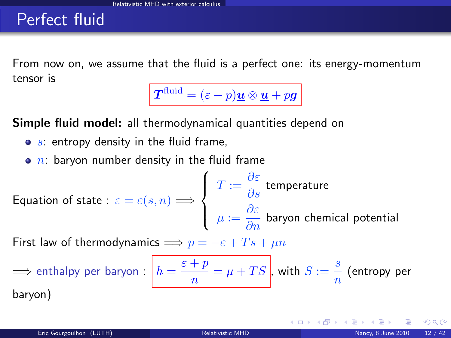#### Perfect fluid

From now on, we assume that the fluid is a perfect one: its energy-momentum tensor is

 $\boldsymbol{T}^{\text{fluid}} = (\varepsilon + p)\boldsymbol{\underline{u}} \otimes \boldsymbol{\underline{u}} + p\boldsymbol{g}$ 

Simple fluid model: all thermodynamical quantities depend on

- $\bullet$  s: entropy density in the fluid frame,
- $\bullet$  n: baryon number density in the fluid frame

Equation of state : 
$$
\varepsilon = \varepsilon(s, n) \Longrightarrow
$$
 
$$
\left\{ \begin{array}{l} T := \dfrac{\partial \varepsilon}{\partial s} \text{ temperature} \\ \mu := \dfrac{\partial \varepsilon}{\partial n} \text{ baryon chemical potential} \end{array} \right.
$$

First law of thermodynamics  $\implies p = -\varepsilon + Ts + \mu n$ 

$$
\implies \text{enthalpy per baryon}: \boxed{h = \frac{\varepsilon + p}{n} = \mu + TS}, \text{ with } S := \frac{s}{n} \text{ (entropy per baryon)}
$$

<span id="page-13-0"></span> $\Omega$ 

**K ロ ト K 何 ト K 日**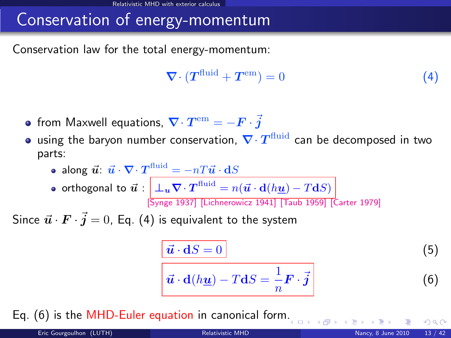# Conservation of energy-momentum

Conservation law for the total energy-momentum:

<span id="page-14-0"></span>
$$
\nabla \cdot (T^{\text{fluid}} + T^{\text{em}}) = 0 \tag{4}
$$

- from Maxwell equations,  $\bm{\nabla}\!\cdot\bm{T}^{\rm em} = -\bm{F}\cdot\vec{\bm{j}}$
- using the baryon number conservation,  $\nabla\cdotp T^{\rm fluid}$  can be decomposed in two parts:

• along 
$$
\vec{u}
$$
:  $\vec{u} \cdot \nabla \cdot T^{\text{fluid}} = -nT\vec{u} \cdot dS$ 

orthogonal to  $\vec{\bm{u}} : \left\| \pm_{\bm{u}} \bm{\nabla}\cdot \bm{T}^{\text{fluid}} = n(\vec{\bm{u}}\cdot \mathbf{d}(h\underline{\bm{u}}) - T \mathbf{d}S) \right\|$ [\[Synge 1937\]](#page-0-1) [\[Lichnerowicz 1941\]](#page-0-1) [\[Taub 1959\]](#page-0-1) [\[Carter 1979\]](#page-0-1)

Since  $\vec{\bm{u}}\cdot\vec{\bm{F}}\cdot\vec{\bm{j}}=0$ , Eq. [\(4\)](#page-14-0) is equivalent to the system

<span id="page-14-1"></span>
$$
\frac{\vec{u} \cdot dS = 0}{\vec{u} \cdot d(h\underline{u}) - T dS = \frac{1}{n} \mathbf{F} \cdot \vec{j}
$$
 (5)

Eq. [\(6\)](#page-14-1) is the MHD-Euler equation in canonical form[.](#page-13-0)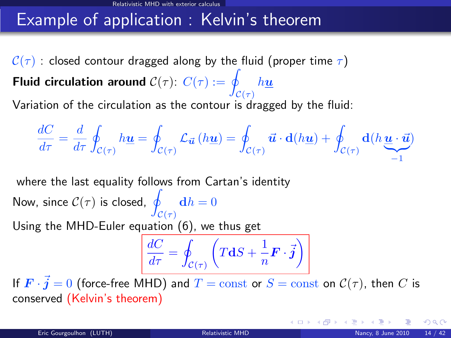## Example of application : Kelvin's theorem

 $C(\tau)$  : closed contour dragged along by the fluid (proper time  $\tau$ ) Fluid circulation around  $\mathcal{C}(\tau)$ :  $C(\tau) := q$  $\mathcal{C}(\tau)$  $h\underline{u}$ Variation of the circulation as the contour is dragged by the fluid:

$$
\frac{dC}{d\tau} = \frac{d}{d\tau} \oint_{\mathcal{C}(\tau)} h\underline{\mathbf{u}} = \oint_{\mathcal{C}(\tau)} \mathcal{L}_{\vec{\mathbf{u}}}\left(h\underline{\mathbf{u}}\right) = \oint_{\mathcal{C}(\tau)} \vec{\mathbf{u}} \cdot \mathbf{d}(h\underline{\mathbf{u}}) + \oint_{\mathcal{C}(\tau)} \mathbf{d}(h\underline{\mathbf{u}} \cdot \vec{\mathbf{u}})
$$

where the last equality follows from Cartan's identity

Now, since  $\mathcal{C}(\tau)$  is closed, q  $\mathcal{C}(\tau)$  $\mathbf{d}h = 0$ Using the MHD-Euler equation [\(6\)](#page-14-1), we thus get

<span id="page-15-0"></span>
$$
\frac{dC}{d\tau} = \oint_{\mathcal{C}(\tau)} \left( T\mathbf{d}S + \frac{1}{n}\mathbf{F} \cdot \vec{\mathbf{j}} \right)
$$

If  $\bm{F}\cdot\vec{\bm{j}}=0$  (force-free MHD) and  $T=\mathrm{const}$  or  $S=\mathrm{const}$  on  $\mathcal{C}(\tau),$  then  $C$  is conserved (Kelvin's theorem)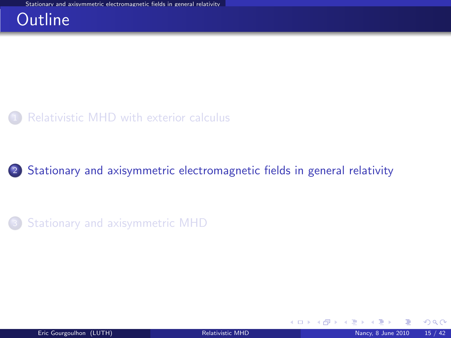#### **Outline**



<sup>2</sup> [Stationary and axisymmetric electromagnetic fields in general relativity](#page-16-0)

**3** [Stationary and axisymmetric MHD](#page-29-0)

<span id="page-16-0"></span> $\Omega$ 

**K ロ ▶ K 何 ▶ K 手**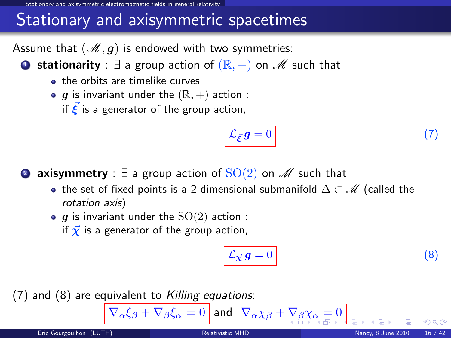od axisymmetric electromagnetic fields in general relativi

## Stationary and axisymmetric spacetimes

Assume that  $(M, g)$  is endowed with two symmetries:

**■ stationarity** :  $\exists$  a group action of  $(\mathbb{R}, +)$  on  $\mathcal{M}$  such that

- the orbits are timelike curves
- $\bullet$  g is invariant under the  $(\mathbb{R}, +)$  action :

if  $\vec{\xi}$  is a generator of the group action,

<span id="page-17-1"></span>
$$
\mathcal{L}_{\vec{\xi}}g = 0 \tag{7}
$$

**2 axisymmetry** :  $\exists$  a group action of  $SO(2)$  on  $\mathscr{M}$  such that

- the set of fixed points is a 2-dimensional submanifold  $\Delta \subset M$  (called the rotation axis)
- $\bullet$  g is invariant under the  $SO(2)$  action :
	- if  $\vec{\chi}$  is a generator of the group action,

<span id="page-17-2"></span><span id="page-17-0"></span>
$$
\mathcal{L}_{\vec{\chi}} g = 0 \tag{8}
$$

 $(7)$  and  $(8)$  are equivalent to Killing equations:

 $\nabla_\alpha \xi_\beta + \nabla_\beta \xi_\alpha = 0$  $\nabla_\alpha \xi_\beta + \nabla_\beta \xi_\alpha = 0$  $\nabla_\alpha \xi_\beta + \nabla_\beta \xi_\alpha = 0$  and  $\nabla_\alpha \chi_\beta + \nabla_\beta \chi_\alpha = 0$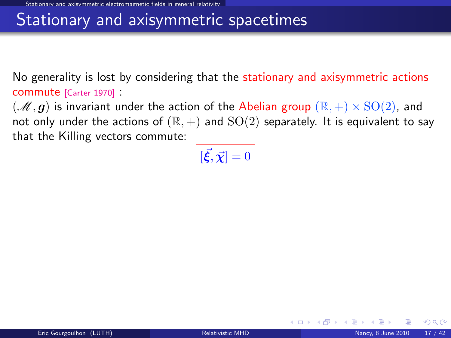#### Stationary and axisymmetric spacetimes

No generality is lost by considering that the stationary and axisymmetric actions commute [\[Carter 1970\]](#page-0-1) :

 $(\mathscr{M}, g)$  is invariant under the action of the Abelian group  $(\mathbb{R}, +) \times \text{SO}(2)$ , and not only under the actions of  $(\mathbb{R}, +)$  and  $SO(2)$  separately. It is equivalent to say that the Killing vectors commute:

$$
\left[ [\vec{\xi}, \vec{\chi}] = 0 \right]
$$

<span id="page-18-0"></span> $\Omega$ 

**4 ロ ト 4 何 ト 4**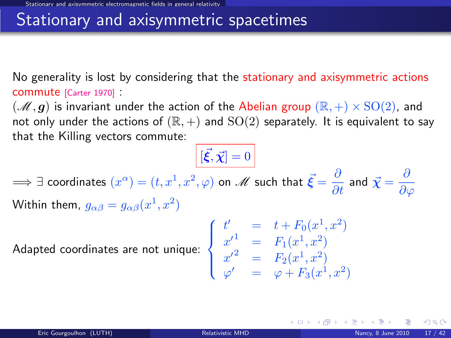#### Stationary and axisymmetric spacetimes

No generality is lost by considering that the stationary and axisymmetric actions commute [\[Carter 1970\]](#page-0-1) :

 $(\mathscr{M}, g)$  is invariant under the action of the Abelian group  $(\mathbb{R}, +) \times \text{SO}(2)$ , and not only under the actions of  $(\mathbb{R}, +)$  and  $SO(2)$  separately. It is equivalent to say that the Killing vectors commute:

 $[\vec{\xi}, \vec{\chi}] = 0$ 

 $\implies$   $\exists$  coordinates  $(x^\alpha)=(t,x^1,x^2,\varphi)$  on  $\mathscr{M}$  such that  $\vec{\bm{\xi}}=\frac{\partial}{\partial t}$  and  $\vec{\bm{\chi}}=\frac{\partial}{\partial \vec{\bm{\zeta}}}$  $\partial \varphi$ Within them,  $g_{\alpha\beta}=g_{\alpha\beta}(x^1,x^2)$ 

Adapted coordinates are not unique:  $\Big\}$ 

$$
\begin{cases}\n t' &= t + F_0(x^1, x^2) \\
 x'^1 &= F_1(x^1, x^2) \\
 x'^2 &= F_2(x^1, x^2) \\
 \varphi' &= \varphi + F_3(x^1, x^2)\n\end{cases}
$$

**K ロ ▶ | K 御 ▶ | K 唐 ▶** |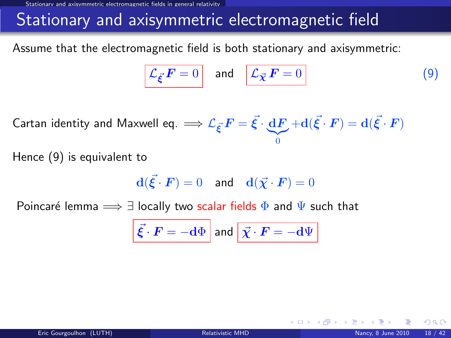ary and axisymmetric electromagnetic fields in general relativit

## Stationary and axisymmetric electromagnetic field

Assume that the electromagnetic field is both stationary and axisymmetric:

<span id="page-20-0"></span>
$$
\mathcal{L}_{\vec{\xi}} \mathbf{F} = 0 \quad \text{and} \quad \boxed{\mathcal{L}_{\vec{\chi}} \mathbf{F} = 0} \tag{9}
$$

Cartan identity and Maxwell eq.  $\Longrightarrow {\mathcal L}_{\vec{\bm{\xi}}} \bm{\mathit{F}} = \vec{\bm{\xi}} \cdot \bm{\mathrm{d}} \bm{\mathit{F}}$  $\overline{0}$  $+ \mathbf{d}(\vec{\xi}\cdot\bm{F}) = \mathbf{d}(\vec{\xi}\cdot\bm{F})$ 

Hence [\(9\)](#page-20-0) is equivalent to

$$
\mathbf{d}(\vec{\xi} \cdot \boldsymbol{F}) = 0 \quad \text{and} \quad \mathbf{d}(\vec{\chi} \cdot \boldsymbol{F}) = 0
$$

Poincaré lemma  $\implies \exists$  locally two scalar fields  $\Phi$  and  $\Psi$  such that

$$
\vec{\xi} \cdot \vec{F} = -\mathrm{d}\Phi \text{ and } \vec{\chi} \cdot \vec{F} = -\mathrm{d}\Psi
$$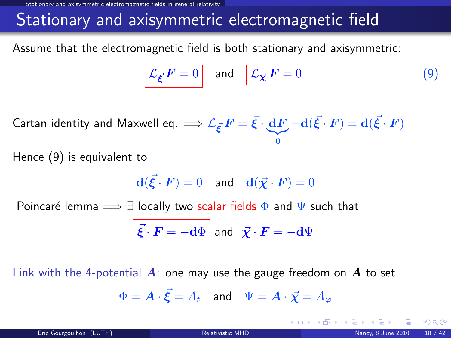Stationary and axisymmetric electromagnetic fields in general relativity

## Stationary and axisymmetric electromagnetic field

Assume that the electromagnetic field is both stationary and axisymmetric:

$$
\mathcal{L}_{\vec{\xi}} \mathbf{F} = 0 \quad \text{and} \quad \boxed{\mathcal{L}_{\vec{\chi}} \mathbf{F} = 0} \tag{9}
$$

Cartan identity and Maxwell eq.  $\Longrightarrow {\mathcal L}_{\vec{\bm{\xi}}} \bm{\mathit{F}} = \vec{\bm{\xi}} \cdot \bm{\mathrm{d}} \bm{\mathit{F}}$  $\overline{0}$  $+ \mathbf{d}(\vec{\xi}\cdot\bm{F}) = \mathbf{d}(\vec{\xi}\cdot\bm{F})$ 

Hence [\(9\)](#page-20-0) is equivalent to

$$
\mathbf{d}(\vec{\xi} \cdot \boldsymbol{F}) = 0 \quad \text{and} \quad \mathbf{d}(\vec{\chi} \cdot \boldsymbol{F}) = 0
$$

Poincaré lemma  $\implies \exists$  locally two scalar fields  $\Phi$  and  $\Psi$  such that

$$
\vec{\xi} \cdot \vec{F} = -\mathrm{d}\Phi \text{ and } \vec{\chi} \cdot \vec{F} = -\mathrm{d}\Psi
$$

Link with the 4-potential  $\vec{A}$ : one may use the gauge freedom on  $\vec{A}$  to set

$$
\Phi = \boldsymbol{A} \cdot \vec{\boldsymbol{\xi}} = A_t \quad \text{and} \quad \Psi = \boldsymbol{A} \cdot \vec{\boldsymbol{\chi}} = A_\varphi
$$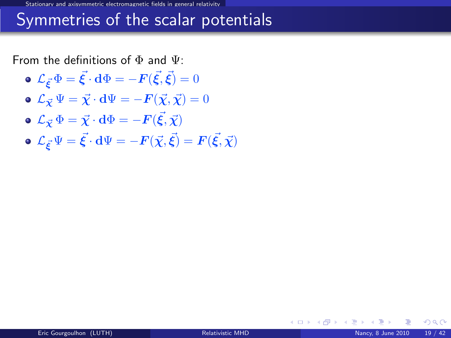Stationary and axisymmetric electromagnetic fields in general relativity

#### Symmetries of the scalar potentials

From the definitions of  $\Phi$  and  $\Psi$ :

- $\mathcal{L}_{\vec{\boldsymbol{\xi}}}\Phi=\vec{\boldsymbol{\xi}}\cdot\mathbf{d}\Phi=-\boldsymbol{F}(\vec{\boldsymbol{\xi}},\vec{\boldsymbol{\xi}})=0$
- $\mathbf{L}_{\vec{v}}\Psi = \vec{\chi}\cdot d\Psi = -\mathbf{F}(\vec{\chi},\vec{\chi}) = 0$
- $\mathcal{L}_{\vec{\boldsymbol\chi}}\,\Phi=\vec{\boldsymbol\chi}\cdot{\bf d}\Phi=-{\boldsymbol F}(\vec{\boldsymbol\xi},\vec{\boldsymbol\chi})$
- $\mathcal{L}_{\vec{\bm{\xi}}} \Psi = \vec{\bm{\xi}} \cdot \mathbf{d} \Psi = -\bm{F}(\vec{\chi},\vec{\bm{\xi}}) = \bm{F}(\vec{\bm{\xi}},\vec{\chi})$

 $\Omega$ 

**K ロ ▶ K 何 ▶ K**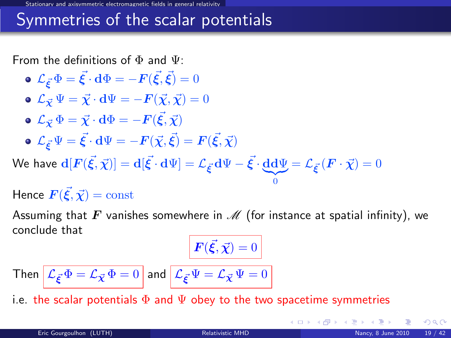#### Symmetries of the scalar potentials

From the definitions of  $\Phi$  and  $\Psi$ :

 $\mathcal{L}_{\vec{\boldsymbol{\xi}}}\Phi=\vec{\boldsymbol{\xi}}\cdot\mathbf{d}\Phi=-\boldsymbol{F}(\vec{\boldsymbol{\xi}},\vec{\boldsymbol{\xi}})=0$  $\mathbf{L}_{\vec{v}}\Psi = \vec{\chi}\cdot d\Psi = -\mathbf{F}(\vec{\chi},\vec{\chi}) = 0$  $\mathcal{L}_{\vec{\boldsymbol\chi}}\,\Phi=\vec{\boldsymbol\chi}\cdot{\bf d}\Phi=-{\boldsymbol F}(\vec{\boldsymbol\xi},\vec{\boldsymbol\chi})$  $\mathcal{L}_{\vec{\bm{\xi}}} \Psi = \vec{\bm{\xi}} \cdot \mathbf{d} \Psi = -\bm{F}(\vec{\chi},\vec{\bm{\xi}}) = \bm{F}(\vec{\bm{\xi}},\vec{\chi})$ 

We have  $\mathbf{d}[F(\vec{\xi},\vec{\chi})] = \mathbf{d}[\vec{\xi}\cdot\mathbf{d}\Psi] = \mathcal{L}_{\vec{\xi}}\cdot\mathbf{d}\Psi - \vec{\xi}\cdot\underbrace{\mathbf{d}\mathbf{d}\Psi}_{0} = \mathcal{L}_{\vec{\xi}}\cdot\left(\bm{F}\cdot\vec{\chi}\right) = 0$ 

Hence  $\vec{F}(\vec{\xi}, \vec{\chi}) = \mathrm{const}$ 

Assuming that F vanishes somewhere in  $\mathcal M$  (for instance at spatial infinity), we conclude that

$$
\mathbf{F}(\vec{\xi}, \vec{\chi}) = 0
$$

 $\boldsymbol{0}$ 

Then 
$$
\mathcal{L}_{\vec{\xi}} \Phi = \mathcal{L}_{\vec{\chi}} \Phi = 0
$$
 and  $\mathcal{L}_{\vec{\xi}} \Psi = \mathcal{L}_{\vec{\chi}} \Psi = 0$ 

i.e. the scalar potentials  $\Phi$  and  $\Psi$  obey to the two spacetime symmetries

 $\Omega$ 

**K ロ ト K 何 ト K ヨ ト**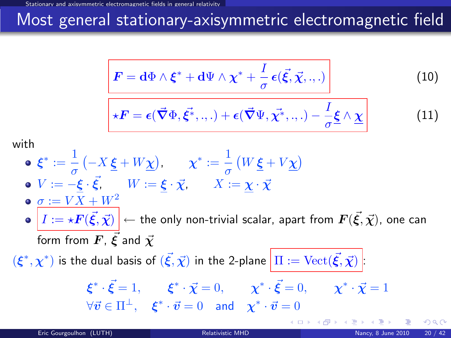# Most general stationary-axisymmetric electromagnetic field

<span id="page-24-1"></span>
$$
\left| \boldsymbol{F} = \mathbf{d}\Phi \wedge \boldsymbol{\xi}^* + \mathbf{d}\Psi \wedge \boldsymbol{\chi}^* + \frac{I}{\sigma} \boldsymbol{\epsilon}(\vec{\xi}, \vec{\chi}, \cdot, \cdot) \right| \tag{10}
$$

$$
\star \boldsymbol{F} = \boldsymbol{\epsilon}(\vec{\boldsymbol{\nabla}} \Phi, \vec{\boldsymbol{\xi}^*}, \ldots) + \boldsymbol{\epsilon}(\vec{\boldsymbol{\nabla}} \Psi, \vec{\boldsymbol{\chi}^*}, \ldots) - \frac{I}{\sigma} \underline{\boldsymbol{\xi}} \wedge \underline{\boldsymbol{\chi}} \tag{11}
$$

with

\n- \n
$$
\epsilon^* := \frac{1}{\sigma} \left( -X \, \underline{\xi} + W \underline{\chi} \right), \quad \chi^* := \frac{1}{\sigma} \left( W \, \underline{\xi} + V \underline{\chi} \right)
$$
\n
\n- \n $V := -\underline{\xi} \cdot \vec{\xi}, \quad W := \underline{\xi} \cdot \vec{\chi}, \quad X := \underline{\chi} \cdot \vec{\chi}$ \n
\n- \n $\sigma := V \overline{X} + W^2$ \n
\n- \n $I := \star \mathbf{F}(\vec{\xi}, \vec{\chi}) \to \text{the only non-trivial scalar, apart from } \mathbf{F}(\vec{\xi}, \vec{\chi}) \text{, one can form from } \mathbf{F}, \, \vec{\xi} \text{ and } \vec{\chi}$ \n
\n- \n $(\xi^*, \chi^*)$  is the dual basis of  $(\vec{\xi}, \vec{\chi})$  in the 2-plane  $\boxed{\Pi := \text{Vect}(\vec{\xi}, \vec{\chi})}$ :\n  $\xi^* \cdot \vec{\xi} = 1, \quad \xi^* \cdot \vec{\chi} = 0, \quad \chi^* \cdot \vec{\xi} = 0, \quad \chi^* \cdot \vec{\chi} = 1$ \n
\n- \n $\forall \vec{v} \in \Pi^\perp, \quad \xi^* \cdot \vec{v} = 0 \quad \text{and} \quad \chi^* \cdot \vec{v} = 0$ \n
\n

<span id="page-24-2"></span><span id="page-24-0"></span> $\Omega$ 

**K ロ ኦ K 御 ≯ K**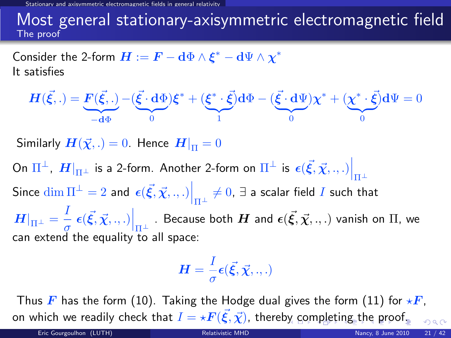magnetic fields in general relativit

#### Most general stationary-axisymmetric electromagnetic field The proof

Consider the 2-form  $\boldsymbol{H}:=\boldsymbol{F}-\mathbf{d}\Phi\wedge\boldsymbol{\xi}^*-\mathbf{d}\Psi\wedge\boldsymbol{\chi}^*$ It satisfies

$$
\boldsymbol{H}(\vec{\xi},.) = \underbrace{\boldsymbol{F}(\vec{\xi},.)}_{-\mathbf{d}\Phi} - (\underbrace{\vec{\xi} \cdot \mathbf{d}\Phi}_{0})\boldsymbol{\xi}^* + (\underbrace{\boldsymbol{\xi}^* \cdot \vec{\xi}}_{1})\mathbf{d}\Phi - (\underbrace{\vec{\xi} \cdot \mathbf{d}\Psi}_{0})\boldsymbol{\chi}^* + (\underbrace{\boldsymbol{\chi}^* \cdot \vec{\xi}}_{0})\mathbf{d}\Psi = 0
$$

Similarly  $H(\vec{\chi},.)=0$ . Hence  $H|_{\Pi}=0$ 

On  $\Pi^\perp$ ,  $\left. H \right|_{\Pi^\perp}$  is a 2-form. Another 2-form on  $\Pi^\perp$  is  $\left. \epsilon (\vec{\xi},\vec{\chi},.,.) \right|_{\Pi^\perp}$ Since  $\dim \Pi^\perp = 2$  and  $\left. \epsilon(\vec{\xi},\vec{\chi}, ., .) \right|_{\Pi^\perp} \neq 0, \, \exists$  a scalar field  $I$  such that  $\left. H \right|_{\Pi^{\pm}} = \frac{I}{\sigma}$  $\left. \frac{1}{\sigma}\right\vert \epsilon(\vec{\xi},\vec{\chi},.,.)\Big|_{\Pi^{\perp}}$  . Because both  $H$  and  $\epsilon(\vec{\xi},\vec{\chi},.,.)$  vanish on  $\Pi$ , we can extend the equality to all space:

<span id="page-25-0"></span>
$$
\boldsymbol{H}=\frac{I}{\sigma}\boldsymbol{\epsilon}(\vec{\boldsymbol{\xi}},\vec{\boldsymbol{\chi}},.,.)
$$

Thus F has the form [\(10\)](#page-24-1). Taking the Hodge dual gives the form [\(11\)](#page-24-2) for  $\star$ F, o[n](#page-15-0) which we readily check [t](#page-28-0)[h](#page-29-0)at  $I = \star \bm{F}(\vec{\xi},\vec{\chi})$  $I = \star \bm{F}(\vec{\xi},\vec{\chi})$  $I = \star \bm{F}(\vec{\xi},\vec{\chi})$ , there[by c](#page-24-0)[om](#page-26-0)[ple](#page-25-0)[ti](#page-26-0)n[g](#page-16-0) the [p](#page-16-0)[r](#page-28-0)[o](#page-29-0)[of.](#page-0-0)  $200$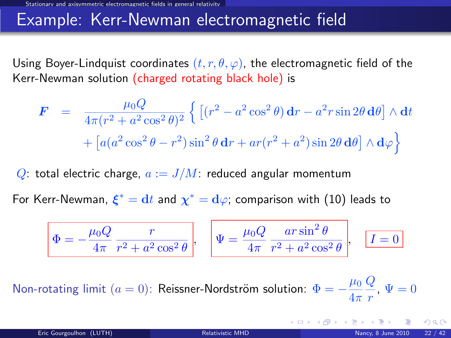#### Example: Kerr-Newman electromagnetic field

Using Boyer-Lindquist coordinates  $(t, r, \theta, \varphi)$ , the electromagnetic field of the Kerr-Newman solution (charged rotating black hole) is

$$
\mathbf{F} = \frac{\mu_0 Q}{4\pi (r^2 + a^2 \cos^2 \theta)^2} \left\{ \left[ (r^2 - a^2 \cos^2 \theta) \mathbf{d}r - a^2 r \sin 2\theta \mathbf{d}\theta \right] \wedge \mathbf{d}t + \left[ a(a^2 \cos^2 \theta - r^2) \sin^2 \theta \mathbf{d}r + ar(r^2 + a^2) \sin 2\theta \mathbf{d}\theta \right] \wedge \mathbf{d}\varphi \right\}
$$

Q: total electric charge,  $a := J/M$ : reduced angular momentum

For Kerr-Newman,  $\boldsymbol{\xi}^* = \mathbf{d} t$  and  $\boldsymbol{\chi}^* = \mathbf{d} \varphi$ ; comparison with  $(10)$  leads to

$$
\Phi = -\frac{\mu_0 Q}{4\pi} \frac{r}{r^2 + a^2 \cos^2 \theta}, \quad \Psi = \frac{\mu_0 Q}{4\pi} \frac{ar \sin^2 \theta}{r^2 + a^2 \cos^2 \theta}, \quad \boxed{I = 0}
$$

Non-rotating limit  $(a = 0)$ : Reissner-Nordström solution:  $\Phi = -\frac{\mu_0}{4}$  $4\pi$  $\pmb Q$  $\frac{q}{r}$ ,  $\Psi = 0$ 

<span id="page-26-0"></span>**K ロ ト K 御 ト K 差 ト K**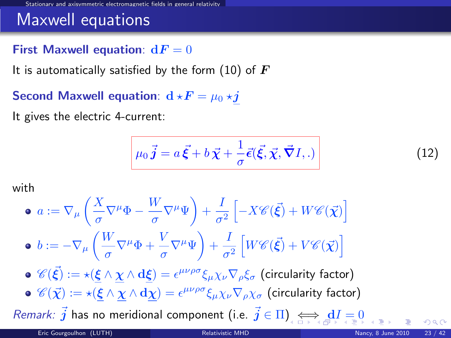### Maxwell equations

#### First Maxwell equation:  $dF = 0$

It is automatically satisfied by the form [\(10\)](#page-24-1) of  $\bm{F}$ 

Second Maxwell equation:  $d \star F = \mu_0 \star j$ 

It gives the electric 4-current:

<span id="page-27-1"></span>
$$
\mu_0 \vec{j} = a \vec{\xi} + b \vec{\chi} + \frac{1}{\sigma} \vec{\epsilon} (\vec{\xi}, \vec{\chi}, \vec{\nabla} I, .)
$$
 (12)

with

• 
$$
a := \nabla_{\mu} \left( \frac{X}{\sigma} \nabla^{\mu} \Phi - \frac{W}{\sigma} \nabla^{\mu} \Psi \right) + \frac{I}{\sigma^2} \left[ -X \mathcal{C}(\vec{\xi}) + W \mathcal{C}(\vec{\chi}) \right]
$$
  
\n•  $b := -\nabla_{\mu} \left( \frac{W}{\sigma} \nabla^{\mu} \Phi + \frac{V}{\sigma} \nabla^{\mu} \Psi \right) + \frac{I}{\sigma^2} \left[ W \mathcal{C}(\vec{\xi}) + V \mathcal{C}(\vec{\chi}) \right]$   
\n•  $\mathcal{C}(\vec{\xi}) := \star (\underline{\xi} \wedge \underline{\chi} \wedge d\underline{\xi}) = \epsilon^{\mu\nu\rho\sigma} \xi_{\mu} \chi_{\nu} \nabla_{\rho} \xi_{\sigma}$  (circularity factor)  
\n•  $\mathcal{C}(\vec{\chi}) := \star (\underline{\xi} \wedge \underline{\chi} \wedge d\underline{\chi}) = \epsilon^{\mu\nu\rho\sigma} \xi_{\mu} \chi_{\nu} \nabla_{\rho} \chi_{\sigma}$  (circularity factor)  
\n*Remark:*  $\vec{j}$  has no meridional component (i.e.  $\vec{j} \in \Pi$ )

<span id="page-27-0"></span> $\Omega$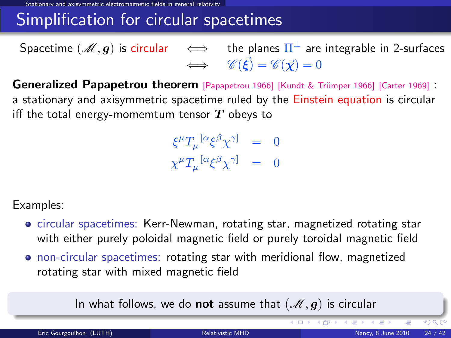Stationary and axisymmetric electromagnetic fields in general relativity

### Simplification for circular spacetimes

Spacetime  $(\mathscr{M},\bm{g})$  is circular  $\quad\Longleftrightarrow\quad$  the planes  $\Pi^\perp$  are integrable in 2-surfaces  $\Leftrightarrow \quad \mathscr{C}(\vec{\xi}) = \mathscr{C}(\vec{\chi}) = 0$ 

Generalized Papapetrou theorem [\[Papapetrou 1966\]](#page-0-1) [Kundt & Trümper 1966] [\[Carter 1969\]](#page-0-1) : a stationary and axisymmetric spacetime ruled by the Einstein equation is circular iff the total energy-momemtum tensor  $T$  obeys to

> $\xi^\mu T_\mu{}^{[\alpha}\xi^\beta\chi^{\gamma]} = 0$  $\chi^{\mu}T_{\mu}^{\ \ [\alpha}\xi^{\beta}\chi^{\gamma]} = 0$

Examples:

- circular spacetimes: Kerr-Newman, rotating star, magnetized rotating star with either purely poloidal magnetic field or purely toroidal magnetic field
- non-circular spacetimes: rotating star with meridional flow, magnetized rotating star with mixed magnetic field

In what follows, we do **not** assume that  $(\mathcal{M}, g)$  is circular

<span id="page-28-0"></span>**KD > K@ > K E > K**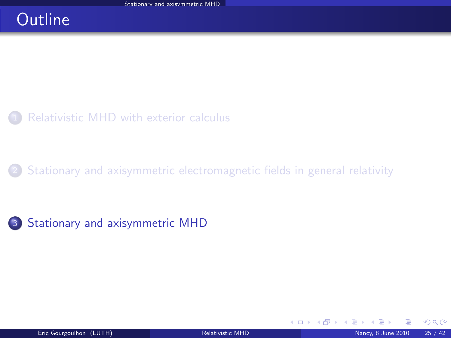## **Outline**



[Stationary and axisymmetric electromagnetic fields in general relativity](#page-16-0)



<span id="page-29-0"></span> $\Omega$ 

**K ロ ▶ K 御 ▶ K 君**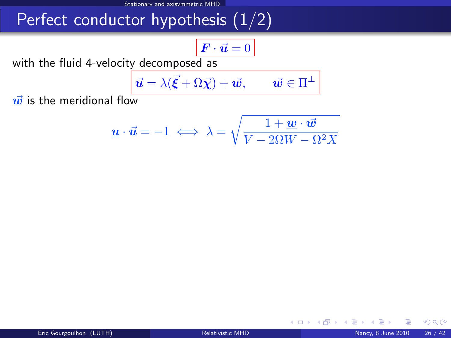# Perfect conductor hypothesis (1/2)

$$
\boldsymbol{F}\cdot\vec{\boldsymbol{u}}=0
$$

with the fluid 4-velocity decomposed as

$$
\vec{\boldsymbol{u}} = \lambda(\vec{\boldsymbol{\xi}} + \Omega \vec{\boldsymbol{\chi}}) + \vec{\boldsymbol{w}}, \qquad \vec{\boldsymbol{w}} \in \Pi^{\perp}
$$

 $\vec{w}$  is the meridional flow

$$
\underline{\mathbf{u}} \cdot \vec{\mathbf{u}} = -1 \iff \lambda = \sqrt{\frac{1 + \underline{\mathbf{w}} \cdot \vec{\mathbf{w}}}{V - 2\Omega W - \Omega^2 X}}
$$

<span id="page-30-0"></span>**K ロ ト K 伊 ト K** 

 $299$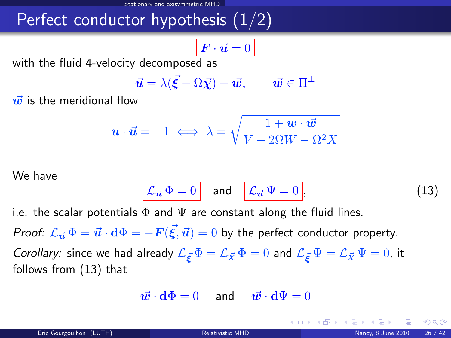# Perfect conductor hypothesis  $(1/2)$

$$
\boldsymbol{F}\cdot\vec{\boldsymbol{u}}=0
$$

with the fluid 4-velocity decomposed as

$$
\vec{\boldsymbol{u}} = \lambda(\vec{\boldsymbol{\xi}} + \Omega \vec{\boldsymbol{\chi}}) + \vec{\boldsymbol{w}}, \qquad \vec{\boldsymbol{w}} \in \Pi^{\perp}
$$

 $\vec{w}$  is the meridional flow

$$
\underline{\boldsymbol{u}} \cdot \vec{\boldsymbol{u}} = -1 \iff \lambda = \sqrt{\frac{1 + \underline{\boldsymbol{w}} \cdot \vec{\boldsymbol{w}}}{V - 2\Omega W - \Omega^2 X}}
$$

We have

$$
\mathcal{L}_{\vec{u}}\,\Phi=0\quad\text{and}\quad\mathcal{L}_{\vec{u}}\,\Psi=0\,,\tag{13}
$$

i.e. the scalar potentials  $\Phi$  and  $\Psi$  are constant along the fluid lines.

*Proof:*  ${\cal L}_{\vec u}\,\Phi=\vec u\cdot{\rm d}\Phi=-F(\vec\xi,\vec u)=0$  *by the perfect conductor property.* 

Corollary: since we had already  $\mathcal{L}_{\vec{\kappa}}\Phi = \mathcal{L}_{\vec{\chi}}\Phi = 0$  and  $\mathcal{L}_{\vec{\kappa}}\Psi = \mathcal{L}_{\vec{\chi}}\Psi = 0$ , it follows from [\(13\)](#page-30-0) that

$$
\boxed{\vec{\boldsymbol{w}}\cdot\mathbf{d}\Phi=0}
$$
 and 
$$
\boxed{\vec{\boldsymbol{w}}\cdot\mathbf{d}\Psi=0}
$$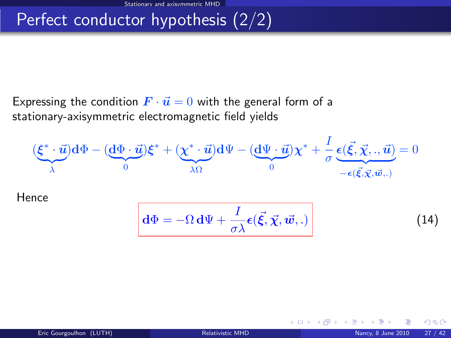# Perfect conductor hypothesis (2/2)

Expressing the condition  $\mathbf{F} \cdot \vec{u} = 0$  with the general form of a stationary-axisymmetric electromagnetic field yields

$$
(\underbrace{\xi^* \cdot \vec{u}}_{\lambda}) d\Phi - (\underbrace{d\Phi \cdot \vec{u}}_{0}) \xi^* + (\underbrace{\chi^* \cdot \vec{u}}_{\lambda \Omega}) d\Psi - (\underbrace{d\Psi \cdot \vec{u}}_{0}) \chi^* + \frac{I}{\sigma} \underbrace{\epsilon(\vec{\xi}, \vec{\chi}, \cdot, \vec{u})}_{-\epsilon(\vec{\xi}, \vec{\chi}, \vec{w}, \cdot)} = 0
$$

Hence

$$
\boxed{\mathbf{d}\Phi = -\Omega \,\mathbf{d}\Psi + \frac{I}{\sigma\lambda}\boldsymbol{\epsilon}(\vec{\xi},\vec{\chi},\vec{\boldsymbol{w}},.)}
$$
\n(14)

<span id="page-32-0"></span>**K ロ ▶ K 御 ▶ K 君** 

 $\Omega$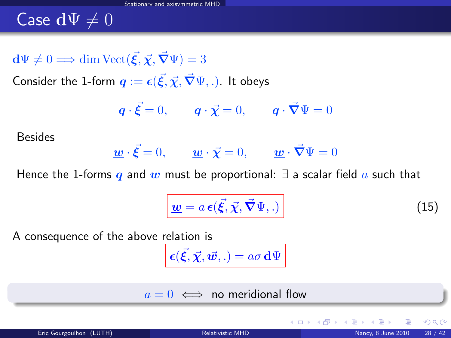# Case  $d\Psi \neq 0$

 $d\Psi \neq 0 \Longrightarrow \dim Vect({\vec{\xi}}, {\vec{\chi}}, {\vec{\nabla}} \Psi) = 3$ 

Consider the 1-form  $\bm{q} := \bm{\epsilon}(\vec{\xi}, \vec{\chi}, \vec{\bm{\nabla}}\Psi, .)$ . It obeys

$$
\mathbf{q} \cdot \vec{\xi} = 0, \qquad \mathbf{q} \cdot \vec{\chi} = 0, \qquad \mathbf{q} \cdot \vec{\nabla} \Psi = 0
$$

Besides

$$
\underline{\boldsymbol{w}} \cdot \vec{\boldsymbol{\xi}} = 0, \qquad \underline{\boldsymbol{w}} \cdot \vec{\boldsymbol{\chi}} = 0, \qquad \underline{\boldsymbol{w}} \cdot \vec{\boldsymbol{\nabla}} \Psi = 0
$$

Hence the 1-forms q and w must be proportional:  $\exists$  a scalar field a such that

<span id="page-33-0"></span>
$$
\underline{\boldsymbol{w}} = a \, \boldsymbol{\epsilon}(\vec{\xi}, \vec{\chi}, \vec{\nabla}\Psi, .)
$$
 (15)

A consequence of the above relation is

 $\bm{\epsilon}(\vec{\boldsymbol{\xi}},\vec{\boldsymbol{\chi}},\vec{\boldsymbol{w}},.) = a\sigma \,\mathbf{d}\Psi$ 

$$
a = 0 \iff \text{no meridional flow}
$$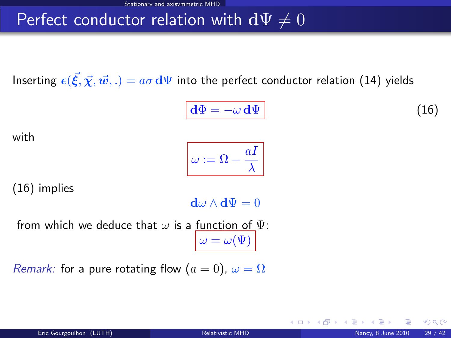### Perfect conductor relation with  $d\Psi \neq 0$

Inserting  $\bm{\epsilon}(\vec{\xi},\vec{\chi},\vec{w},.)=a\sigma\,\mathrm{d}\Psi$  into the perfect conductor relation [\(14\)](#page-32-0) yields

<span id="page-34-0"></span>
$$
\mathbf{d}\Phi = -\omega \,\mathbf{d}\Psi \tag{16}
$$

4 0 8 4

with

$$
\boxed{\omega := \Omega - \frac{aI}{\lambda}}
$$

[\(16\)](#page-34-0) implies

 $d\omega \wedge d\Psi = 0$ 

from which we deduce that  $\omega$  is a function of  $\Psi$ :  $\omega = \omega(\Psi)$ 

*Remark:* for a pure rotating flow  $(a = 0)$ ,  $\omega = \Omega$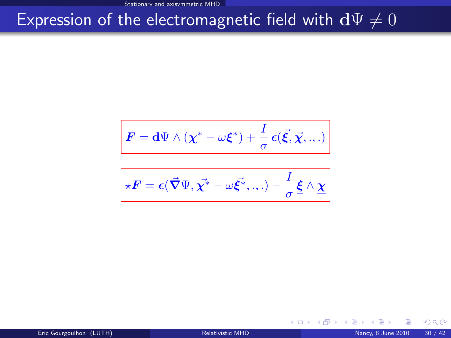# Expression of the electromagnetic field with  $d\Psi \neq 0$

$$
\boldsymbol{F} = \mathbf{d}\Psi \wedge (\chi^* - \omega \boldsymbol{\xi}^*) + \frac{I}{\sigma} \boldsymbol{\epsilon}(\vec{\xi}, \vec{\chi}, \ldots)
$$

$$
\star \boldsymbol{F} = \boldsymbol{\epsilon}(\vec{\boldsymbol{\nabla}} \Psi, \vec{\chi^*} - \omega \vec{\xi^*}, \ldots) - \frac{I}{\sigma} \underline{\boldsymbol{\xi}} \wedge \underline{\chi}
$$

 $298$ 

メロト メタト メミト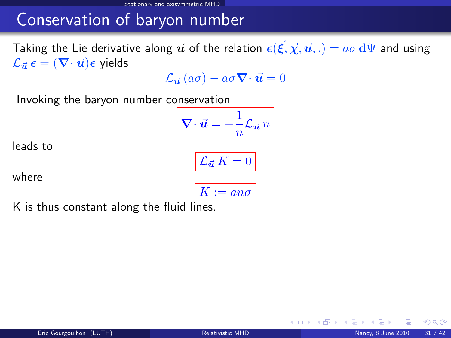## Conservation of baryon number

Taking the Lie derivative along  $\vec u$  of the relation  $\bm \epsilon(\vec\xi,\vec\chi,\vec u,.) = a\sigma \, \mathrm{d}\Psi$  and using  $\mathcal{L}_{\vec{u}} \epsilon = (\nabla \cdot \vec{u}) \epsilon$  yields

 $\mathcal{L}_{\vec{u}}(a\sigma) - a\sigma \nabla \cdot \vec{u} = 0$ 

Invoking the baryon number conservation

$$
\nabla \cdot \vec{u} = -\frac{1}{n} \mathcal{L}_{\vec{u}} n
$$

leads to

$$
\boxed{\mathcal{L}_{\vec{\bm{u}}} K = 0}
$$

where

$$
K:=an\sigma
$$

K is thus constant along the fluid lines.

 $\Omega$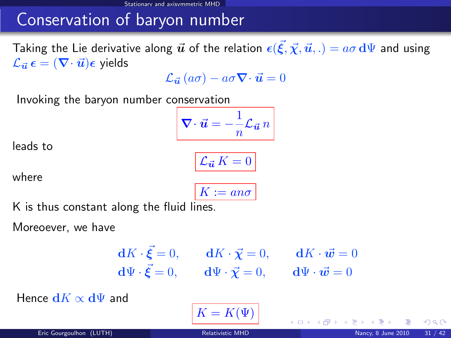## Conservation of baryon number

Taking the Lie derivative along  $\vec u$  of the relation  $\bm \epsilon(\vec\xi,\vec\chi,\vec u,.) = a\sigma \, \mathrm{d}\Psi$  and using  $\mathcal{L}_{\vec{u}} \epsilon = (\nabla \cdot \vec{u}) \epsilon$  yields

 $\mathcal{L}_{\vec{u}}(a\sigma) - a\sigma \nabla \cdot \vec{u} = 0$ 

Invoking the baryon number conservation

$$
\nabla \cdot \vec{u} = -\frac{1}{n} \mathcal{L}_{\vec{u}} n
$$

 $\mathcal{L}_{\vec{u}} K = 0$ 

leads to

where

$$
K := an\sigma
$$

K is thus constant along the fluid lines.

Moreoever, we have

$$
\begin{aligned}\n\mathbf{d}K \cdot \vec{\xi} &= 0, \qquad \mathbf{d}K \cdot \vec{\chi} = 0, \qquad \mathbf{d}K \cdot \vec{\mathbf{w}} = 0 \\
\mathbf{d}\Psi \cdot \vec{\xi} &= 0, \qquad \mathbf{d}\Psi \cdot \vec{\chi} = 0, \qquad \mathbf{d}\Psi \cdot \vec{\mathbf{w}} = 0\n\end{aligned}
$$

**← ロ ▶ → イ 同** 

Hence  $dK \propto d\Psi$  and

$$
K=K(\Psi)
$$

 $\Omega$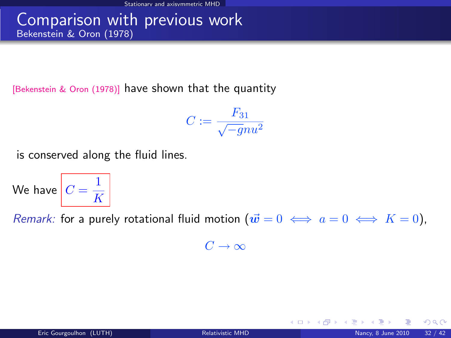#### Comparison with previous work Bekenstein & Oron (1978)

[\[Bekenstein & Oron \(1978\)\]](#page-0-1) have shown that the quantity

$$
C:=\frac{F_{31}}{\sqrt{-g}nu^2}
$$

is conserved along the fluid lines.

We have  $C=\frac{1}{L^2}$ K

Remark: for a purely rotational fluid motion  $(\vec{w} = 0 \iff a = 0 \iff K = 0)$ ,

 $C \rightarrow \infty$ 

 $\Omega$ 

**K ロ ト K 何 ト K ヨ ト K**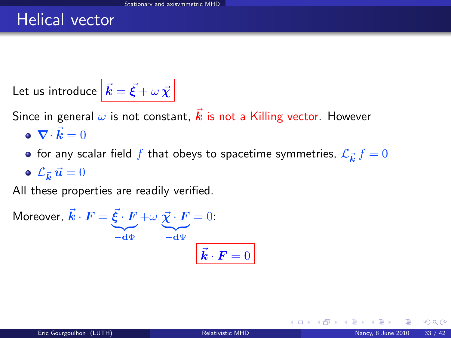#### Helical vector

Let us introduce  $\left| \vec{k} = \vec{\xi} + \omega \vec{\chi} \right|$ 

Since in general  $\omega$  is not constant,  $\vec{k}$  is not a Killing vector. However

- $\nabla \cdot \vec{k} = 0$
- for any scalar field  $f$  that obeys to spacetime symmetries,  $\mathcal{L}_{\vec{\bm{k}}} \, f = 0$

 $\mathcal{L}_{\vec{\bm{k}}} \, \vec{\bm{u}} = 0$ 

All these properties are readily verified.

Moreover, 
$$
\vec{k} \cdot \vec{F} = \underbrace{\vec{\xi} \cdot \vec{F}}_{-\text{d}\Phi} + \omega \underbrace{\vec{\chi} \cdot \vec{F}}_{-\text{d}\Psi} = 0
$$
:  

$$
\vec{k} \cdot \vec{F} = 0
$$

 $\Omega$ 

**K ロ ▶ K 何 ▶ K**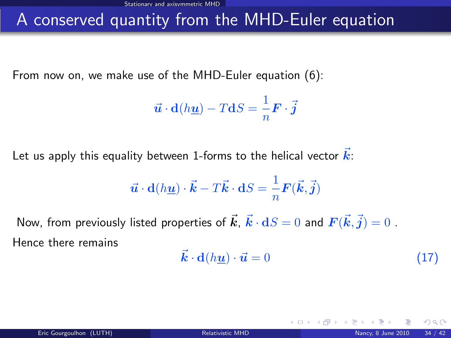## A conserved quantity from the MHD-Euler equation

From now on, we make use of the MHD-Euler equation [\(6\)](#page-14-1):

$$
\vec{u} \cdot d(h\underline{u}) - TdS = \frac{1}{n} \mathbf{F} \cdot \vec{j}
$$

Let us apply this equality between 1-forms to the helical vector  $\vec{k}$ :

$$
\vec{u} \cdot d(h\underline{u}) \cdot \vec{k} - T\vec{k} \cdot dS = \frac{1}{n} \mathbf{F}(\vec{k}, \vec{j})
$$

Now, from previously listed properties of  $\vec{\bm{k}}$ ,  $\vec{\bm{k}}\cdot{\bf d}S=0$  and  $\bm{F}(\vec{\bm{k}},\vec{\bm{j}})=0$  . Hence there remains

$$
\vec{k} \cdot \mathbf{d}(h\underline{\mathbf{u}}) \cdot \vec{\mathbf{u}} = 0 \tag{17}
$$

<span id="page-40-0"></span>**∢ ロ ▶ 《 何** 

 $\Omega$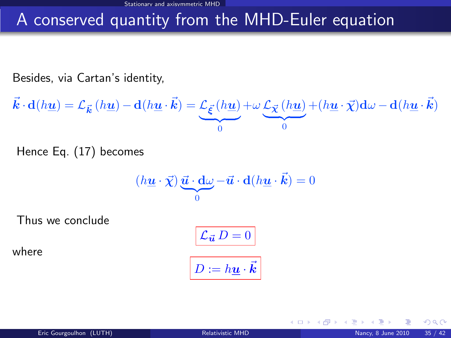# A conserved quantity from the MHD-Euler equation

Besides, via Cartan's identity,

 $\vec{\bm{k}}\cdot \mathbf{d}(h\underline{\bm{u}}) = \mathcal{L}_{\vec{\bm{k}}}\left(h\underline{\bm{u}}\right) - \mathbf{d}(h\underline{\bm{u}}\cdot\vec{\bm{k}}) = \mathcal{L}_{\vec{\bm{\xi}}}\left(h\underline{\bm{u}}\right)$  $\overline{a}$  $\boldsymbol{0}$  $+\omega \, \mathcal{L}_{\vec{\boldsymbol{\chi}}}\left(h\underline{\boldsymbol{u}}\right)$  $\frac{1}{2}$  $\boldsymbol{0}$  $+(h\underline{\boldsymbol{u}}\cdot\vec{\boldsymbol{\chi}})\mathbf{d}\omega-\mathbf{d}(h\underline{\boldsymbol{u}}\cdot\vec{\boldsymbol{k}})$ 

Hence Eq. [\(17\)](#page-40-0) becomes

$$
(h\underline{\mathbf{u}} \cdot \vec{\chi}) \underbrace{\vec{\mathbf{u}} \cdot \mathbf{d}\omega}_{0} - \vec{\mathbf{u}} \cdot \mathbf{d}(h\underline{\mathbf{u}} \cdot \vec{\mathbf{k}}) = 0
$$

Thus we conclude

where

$$
\boxed{\mathcal{L}_{\vec{u}} D = 0}
$$
  

$$
D := h\underline{u} \cdot \vec{k}
$$

4 0 8 4

 $\Omega$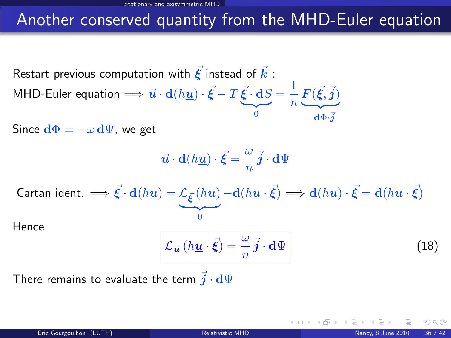### Another conserved quantity from the MHD-Euler equation

Restart previous computation with  $\vec{\xi}$  instead of  $\vec{k}$  : MHD-Euler equation  $\Longrightarrow \vec{\bm{u}}\cdot \mathbf{d}(h\underline{\bm{u}})\cdot\vec{\bm{\xi}}-T\vec{\bm{\xi}}\cdot\mathbf{d}S$  $\overline{0}$ 0  $=\frac{1}{1}$  $\frac{1}{n}\mathbf{F}(\vec{\xi},\vec{j})$  $Z$  $-{\bf d}\Phi{\cdot}\bar{\bm j}$ 

Since  $d\Phi = -\omega d\Psi$ , we get

$$
\vec{\boldsymbol{u}}\cdot\mathbf{d}(h\underline{\boldsymbol{u}})\cdot\vec{\boldsymbol{\xi}}=\frac{\omega}{n}\vec{\boldsymbol{j}}\cdot\mathbf{d}\Psi
$$

$$
\text{Cartan ident.} \implies \vec{\xi} \cdot d(h\underline{u}) = \underbrace{\mathcal{L}_{\vec{\xi}}(h\underline{u})}_{0} - d(h\underline{u} \cdot \vec{\xi}) \implies d(h\underline{u}) \cdot \vec{\xi} = d(h\underline{u} \cdot \vec{\xi})
$$

**Hence** 

<span id="page-42-0"></span>
$$
\mathcal{L}_{\vec{u}}\left(h\underline{u}\cdot\vec{\xi}\right)=\frac{\omega}{n}\vec{j}\cdot\mathbf{d}\Psi\tag{18}
$$

There remains to evaluate the term  $\vec{j} \cdot d\Psi$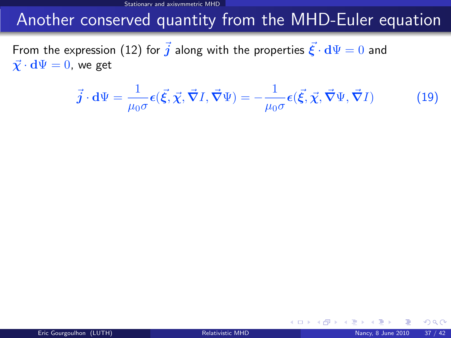Stationary and axisymmetric MHD

#### Another conserved quantity from the MHD-Euler equation

From the expression [\(12\)](#page-27-1) for  $\vec{j}$  along with the properties  $\vec{\xi} \cdot d\Psi = 0$  and  $\vec{\chi} \cdot d\Psi = 0$ , we get

$$
\vec{j} \cdot d\Psi = \frac{1}{\mu_0 \sigma} \epsilon(\vec{\xi}, \vec{\chi}, \vec{\nabla} I, \vec{\nabla} \Psi) = -\frac{1}{\mu_0 \sigma} \epsilon(\vec{\xi}, \vec{\chi}, \vec{\nabla} \Psi, \vec{\nabla} I)
$$
(19)

**∢ ロ ▶ 《 何** 

<span id="page-43-0"></span> $\Omega$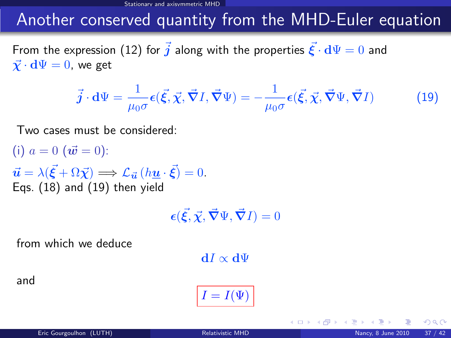Stationary and axisymmetric MHD

#### Another conserved quantity from the MHD-Euler equation

From the expression [\(12\)](#page-27-1) for  $\vec{j}$  along with the properties  $\vec{\xi} \cdot d\Psi = 0$  and  $\vec{\chi} \cdot d\Psi = 0$ , we get

$$
\vec{j} \cdot d\Psi = \frac{1}{\mu_0 \sigma} \epsilon(\vec{\xi}, \vec{\chi}, \vec{\nabla} I, \vec{\nabla} \Psi) = -\frac{1}{\mu_0 \sigma} \epsilon(\vec{\xi}, \vec{\chi}, \vec{\nabla} \Psi, \vec{\nabla} I)
$$
(19)

Two cases must be considered:

(i)  $a = 0$  ( $\vec{w} = 0$ ):  $\vec{u} = \lambda(\vec{\xi} + \Omega \vec{\chi}) \Longrightarrow \mathcal{L}_{\vec{u}}(h \underline{u} \cdot \vec{\xi}) = 0.$ Eqs. [\(18\)](#page-42-0) and [\(19\)](#page-43-0) then yield

 $\epsilon(\vec{\xi}, \vec{\chi}, \vec{\nabla}\Psi, \vec{\nabla}I) = 0$ 

from which we deduce

 $dI \propto d\Psi$ 

and

$$
I=I(\Psi)
$$

4 0 8 4

 $\Omega$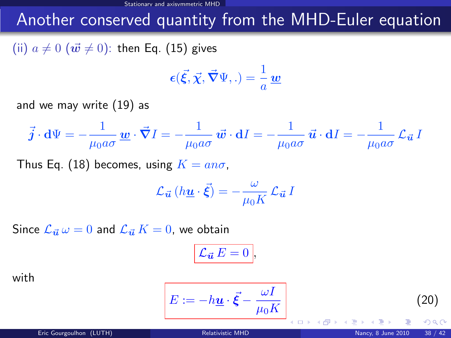### Another conserved quantity from the MHD-Euler equation

(ii)  $a \neq 0$   $(\vec{w} \neq 0)$ : then Eq. [\(15\)](#page-33-0) gives

$$
\epsilon(\vec{\xi}, \vec{\chi}, \vec{\nabla}\Psi, .) = \frac{1}{a}\underline{w}
$$

and we may write [\(19\)](#page-43-0) as

$$
\vec{j} \cdot d\Psi = -\frac{1}{\mu_0 a \sigma} \underline{w} \cdot \vec{\nabla} I = -\frac{1}{\mu_0 a \sigma} \vec{w} \cdot dI = -\frac{1}{\mu_0 a \sigma} \vec{u} \cdot dI = -\frac{1}{\mu_0 a \sigma} \mathcal{L}_{\vec{u}} I
$$

Thus Eq. [\(18\)](#page-42-0) becomes, using  $K = a n \sigma$ ,

$$
\mathcal{L}_{\vec{u}}\left(h\underline{u}\cdot\vec{\xi}\right)=-\frac{\omega}{\mu_0K}\,\mathcal{L}_{\vec{u}}\,I
$$

Since  $\mathcal{L}_{\vec{u}} \omega = 0$  and  $\mathcal{L}_{\vec{u}} K = 0$ , we obtain

<span id="page-45-0"></span>
$$
\mathcal{L}_{\vec{\boldsymbol{u}}}E=0\,\bigg|,
$$

with

$$
E:=-h\underline{u}\cdot\vec{\xi}-\frac{\omega I}{\mu_0 K}\Bigg|_{\xi=0.5\times10^{-3}\,\mathrm{K}}
$$

(20)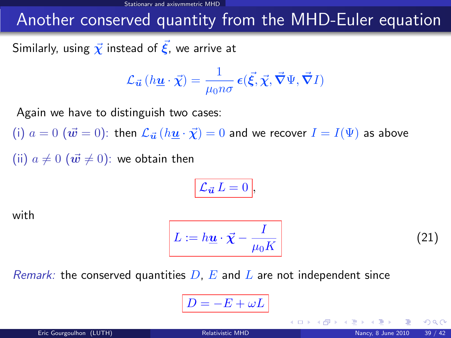Stationary and axisymmetric MHD

#### Another conserved quantity from the MHD-Euler equation

Similarly, using  $\vec{\chi}$  instead of  $\vec{\xi}$ , we arrive at

$$
\mathcal{L}_{\vec{u}}\left(h\underline{u}\cdot\vec{\chi}\right) = \frac{1}{\mu_0 n\sigma} \,\boldsymbol{\epsilon}(\vec{\xi}, \vec{\chi}, \vec{\nabla}\Psi, \vec{\nabla}I)
$$

Again we have to distinguish two cases:

(i)  $a = 0$   $(\vec{w} = 0)$ : then  $\mathcal{L}_{\vec{u}}(h\underline{u} \cdot \vec{\chi}) = 0$  and we recover  $I = I(\Psi)$  as above (ii)  $a \neq 0$   $(\vec{w} \neq 0)$ : we obtain then

$$
\mathcal{L}_{\vec{u}} L = 0,
$$

with

$$
L := h\underline{\mathbf{u}} \cdot \vec{\chi} - \frac{I}{\mu_0 K}
$$
 (21)

<span id="page-46-0"></span>

*Remark:* the conserved quantities  $D$ ,  $E$  and  $L$  are not independent since

$$
D=-E+\omega L
$$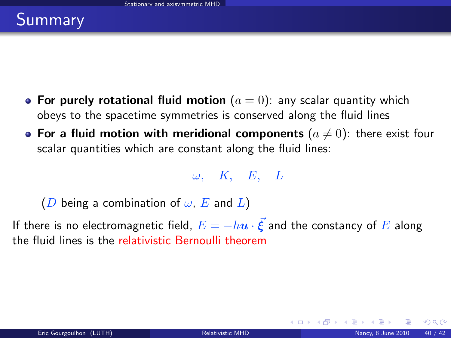# Summary

- For purely rotational fluid motion  $(a = 0)$ : any scalar quantity which obeys to the spacetime symmetries is conserved along the fluid lines
- For a fluid motion with meridional components  $(a \neq 0)$ : there exist four scalar quantities which are constant along the fluid lines:

 $\omega$ , K, E, L

(D being a combination of  $\omega$ , E and L)

If there is no electromagnetic field,  $E=-h\underline{u}\cdot\vec{\xi}$  and the constancy of  $E$  along the fluid lines is the relativistic Bernoulli theorem

**K ロ ト K 何 ト K ヨ ト K**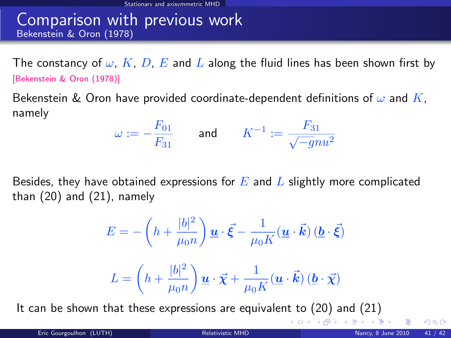#### Comparison with previous work Bekenstein & Oron (1978)

The constancy of  $\omega$ , K, D, E and L along the fluid lines has been shown first by [\[Bekenstein & Oron \(1978\)\]](#page-0-1)

Bekenstein & Oron have provided coordinate-dependent definitions of  $\omega$  and K, namely

$$
\omega := -\frac{F_{01}}{F_{31}} \qquad \text{and} \qquad K^{-1} := \frac{F_{31}}{\sqrt{-g}nu^2}
$$

Besides, they have obtained expressions for  $E$  and  $L$  slightly more complicated than [\(20\)](#page-45-0) and [\(21\)](#page-46-0), namely

$$
E = -\left(h + \frac{|b|^2}{\mu_0 n}\right) \underline{\mathbf{u}} \cdot \vec{\xi} - \frac{1}{\mu_0 K} (\underline{\mathbf{u}} \cdot \vec{\mathbf{k}}) (\underline{\mathbf{b}} \cdot \vec{\xi})
$$

$$
L = \left(h + \frac{|b|^2}{\mu_0 n}\right) \underline{\mathbf{u}} \cdot \vec{\chi} + \frac{1}{\mu_0 K} (\underline{\mathbf{u}} \cdot \vec{\mathbf{k}}) (\underline{\mathbf{b}} \cdot \vec{\chi})
$$

It can be shown that these expressions are equivalent to [\(20\)](#page-45-0) and [\(21\)](#page-46-0)

 $\Omega$ 

メロメ メ御き メミメ メミメ